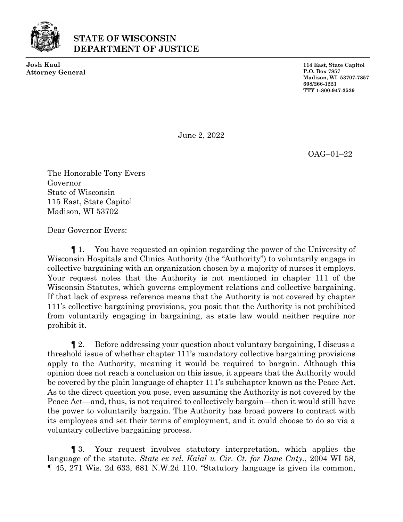

## **STATE OF WISCONSIN DEPARTMENT OF JUSTICE** ⎯⎯⎯⎯⎯⎯⎯⎯⎯⎯⎯⎯⎯⎯⎯⎯⎯⎯⎯⎯⎯⎯⎯⎯⎯⎯⎯⎯⎯⎯⎯⎯⎯⎯⎯⎯⎯⎯⎯⎯⎯⎯⎯⎯

**Josh Kaul Attorney General** **114 East, State Capitol P.O. Box 7857 Madison, WI 53707-7857 608/266-1221 TTY 1-800-947-3529**

June 2, 2022

OAG–01–22

The Honorable Tony Evers Governor State of Wisconsin 115 East, State Capitol Madison, WI 53702

Dear Governor Evers:

¶ 1. You have requested an opinion regarding the power of the University of Wisconsin Hospitals and Clinics Authority (the "Authority") to voluntarily engage in collective bargaining with an organization chosen by a majority of nurses it employs. Your request notes that the Authority is not mentioned in chapter 111 of the Wisconsin Statutes, which governs employment relations and collective bargaining. If that lack of express reference means that the Authority is not covered by chapter 111's collective bargaining provisions, you posit that the Authority is not prohibited from voluntarily engaging in bargaining, as state law would neither require nor prohibit it.

¶ 2. Before addressing your question about voluntary bargaining, I discuss a threshold issue of whether chapter 111's mandatory collective bargaining provisions apply to the Authority, meaning it would be required to bargain. Although this opinion does not reach a conclusion on this issue, it appears that the Authority would be covered by the plain language of chapter 111's subchapter known as the Peace Act. As to the direct question you pose, even assuming the Authority is not covered by the Peace Act—and, thus, is not required to collectively bargain—then it would still have the power to voluntarily bargain. The Authority has broad powers to contract with its employees and set their terms of employment, and it could choose to do so via a voluntary collective bargaining process.

¶ 3. Your request involves statutory interpretation, which applies the language of the statute. *State ex rel. Kalal v. Cir. Ct. for Dane Cnty.*, 2004 WI 58, ¶ 45, 271 Wis. 2d 633, 681 N.W.2d 110. "Statutory language is given its common,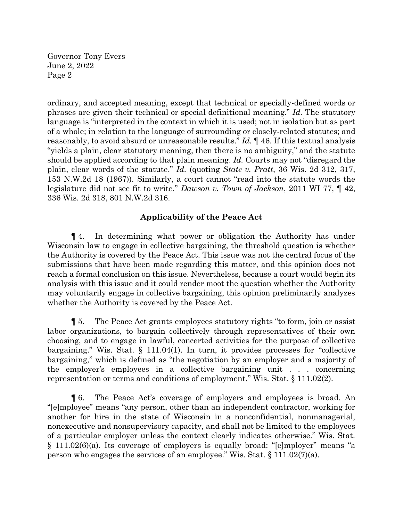ordinary, and accepted meaning, except that technical or specially-defined words or phrases are given their technical or special definitional meaning." *Id.* The statutory language is "interpreted in the context in which it is used; not in isolation but as part of a whole; in relation to the language of surrounding or closely-related statutes; and reasonably, to avoid absurd or unreasonable results." *Id.* ¶ 46. If this textual analysis "yields a plain, clear statutory meaning, then there is no ambiguity," and the statute should be applied according to that plain meaning. *Id.* Courts may not "disregard the plain, clear words of the statute." *Id.* (quoting *State v. Pratt*, 36 Wis. 2d 312, 317, 153 N.W.2d 18 (1967)). Similarly, a court cannot "read into the statute words the legislature did not see fit to write." *Dawson v. Town of Jackson*, 2011 WI 77, ¶ 42, 336 Wis. 2d 318, 801 N.W.2d 316.

## **Applicability of the Peace Act**

¶ 4. In determining what power or obligation the Authority has under Wisconsin law to engage in collective bargaining, the threshold question is whether the Authority is covered by the Peace Act. This issue was not the central focus of the submissions that have been made regarding this matter, and this opinion does not reach a formal conclusion on this issue. Nevertheless, because a court would begin its analysis with this issue and it could render moot the question whether the Authority may voluntarily engage in collective bargaining, this opinion preliminarily analyzes whether the Authority is covered by the Peace Act.

¶ 5. The Peace Act grants employees statutory rights "to form, join or assist labor organizations, to bargain collectively through representatives of their own choosing, and to engage in lawful, concerted activities for the purpose of collective bargaining." Wis. Stat. § 111.04(1). In turn, it provides processes for "collective bargaining," which is defined as "the negotiation by an employer and a majority of the employer's employees in a collective bargaining unit . . . concerning representation or terms and conditions of employment." Wis. Stat. § 111.02(2).

¶ 6. The Peace Act's coverage of employers and employees is broad. An "[e]mployee" means "any person, other than an independent contractor, working for another for hire in the state of Wisconsin in a nonconfidential, nonmanagerial, nonexecutive and nonsupervisory capacity, and shall not be limited to the employees of a particular employer unless the context clearly indicates otherwise." Wis. Stat. § 111.02(6)(a). Its coverage of employers is equally broad: "[e]mployer" means "a person who engages the services of an employee." Wis. Stat. § 111.02(7)(a).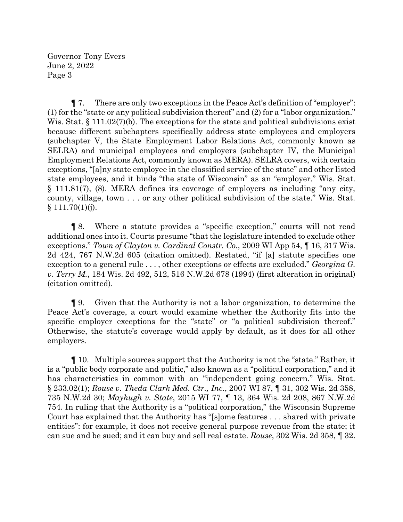¶ 7. There are only two exceptions in the Peace Act's definition of "employer": (1) for the "state or any political subdivision thereof" and (2) for a "labor organization." Wis. Stat.  $\S 111.02(7)$  (b). The exceptions for the state and political subdivisions exist because different subchapters specifically address state employees and employers (subchapter V, the State Employment Labor Relations Act, commonly known as SELRA) and municipal employees and employers (subchapter IV, the Municipal Employment Relations Act, commonly known as MERA). SELRA covers, with certain exceptions, "[a]ny state employee in the classified service of the state" and other listed state employees, and it binds "the state of Wisconsin" as an "employer." Wis. Stat. § 111.81(7), (8). MERA defines its coverage of employers as including "any city, county, village, town . . . or any other political subdivision of the state." Wis. Stat.  $§ 111.70(1)(j).$ 

¶ 8. Where a statute provides a "specific exception," courts will not read additional ones into it. Courts presume "that the legislature intended to exclude other exceptions." *Town of Clayton v. Cardinal Constr. Co.*, 2009 WI App 54, ¶ 16, 317 Wis. 2d 424, 767 N.W.2d 605 (citation omitted). Restated, "if [a] statute specifies one exception to a general rule . . . , other exceptions or effects are excluded." *Georgina G. v. Terry M.*, 184 Wis. 2d 492, 512, 516 N.W.2d 678 (1994) (first alteration in original) (citation omitted).

¶ 9. Given that the Authority is not a labor organization, to determine the Peace Act's coverage, a court would examine whether the Authority fits into the specific employer exceptions for the "state" or "a political subdivision thereof." Otherwise, the statute's coverage would apply by default, as it does for all other employers.

¶ 10. Multiple sources support that the Authority is not the "state." Rather, it is a "public body corporate and politic," also known as a "political corporation," and it has characteristics in common with an "independent going concern." Wis. Stat. § 233.02(1); *Rouse v. Theda Clark Med. Ctr., Inc.*, 2007 WI 87, ¶ 31, 302 Wis. 2d 358, 735 N.W.2d 30; *Mayhugh v. State*, 2015 WI 77, ¶ 13, 364 Wis. 2d 208, 867 N.W.2d 754. In ruling that the Authority is a "political corporation," the Wisconsin Supreme Court has explained that the Authority has "[s]ome features . . . shared with private entities": for example, it does not receive general purpose revenue from the state; it can sue and be sued; and it can buy and sell real estate. *Rouse*, 302 Wis. 2d 358, ¶ 32.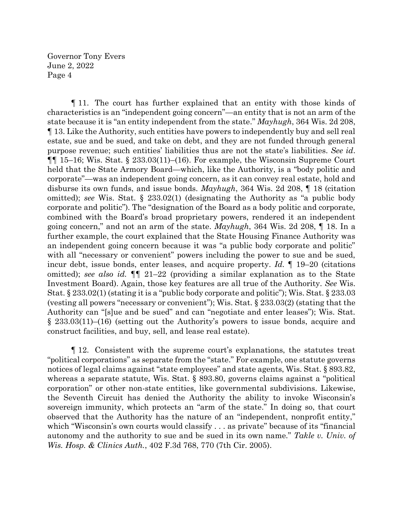¶ 11. The court has further explained that an entity with those kinds of characteristics is an "independent going concern"—an entity that is not an arm of the state because it is "an entity independent from the state." *Mayhugh*, 364 Wis. 2d 208, ¶ 13. Like the Authority, such entities have powers to independently buy and sell real estate, sue and be sued, and take on debt, and they are not funded through general purpose revenue; such entities' liabilities thus are not the state's liabilities. *See id*.  $\P$ [ 15–16; Wis. Stat. § 233.03(11)–(16). For example, the Wisconsin Supreme Court held that the State Armory Board—which, like the Authority, is a "body politic and corporate"—was an independent going concern, as it can convey real estate, hold and disburse its own funds, and issue bonds. *Mayhugh*, 364 Wis. 2d 208, ¶ 18 (citation omitted); *see* Wis. Stat. § 233.02(1) (designating the Authority as "a public body corporate and politic"). The "designation of the Board as a body politic and corporate, combined with the Board's broad proprietary powers, rendered it an independent going concern," and not an arm of the state. *Mayhugh*, 364 Wis. 2d 208, ¶ 18. In a further example, the court explained that the State Housing Finance Authority was an independent going concern because it was "a public body corporate and politic" with all "necessary or convenient" powers including the power to sue and be sued, incur debt, issue bonds, enter leases, and acquire property. *Id.* ¶ 19–20 (citations omitted); *see also id.* ¶¶ 21–22 (providing a similar explanation as to the State Investment Board). Again, those key features are all true of the Authority. *See* Wis. Stat. § 233.02(1) (stating it is a "public body corporate and politic"); Wis. Stat. § 233.03 (vesting all powers "necessary or convenient"); Wis. Stat. § 233.03(2) (stating that the Authority can "[s]ue and be sued" and can "negotiate and enter leases"); Wis. Stat. § 233.03(11)–(16) (setting out the Authority's powers to issue bonds, acquire and construct facilities, and buy, sell, and lease real estate).

¶ 12. Consistent with the supreme court's explanations, the statutes treat "political corporations" as separate from the "state." For example, one statute governs notices of legal claims against "state employees" and state agents, Wis. Stat. § 893.82, whereas a separate statute, Wis. Stat. § 893.80, governs claims against a "political corporation" or other non-state entities, like governmental subdivisions. Likewise, the Seventh Circuit has denied the Authority the ability to invoke Wisconsin's sovereign immunity, which protects an "arm of the state." In doing so, that court observed that the Authority has the nature of an "independent, nonprofit entity," which "Wisconsin's own courts would classify . . . as private" because of its "financial autonomy and the authority to sue and be sued in its own name." *Takle v. Univ. of Wis. Hosp. & Clinics Auth.*, 402 F.3d 768, 770 (7th Cir. 2005).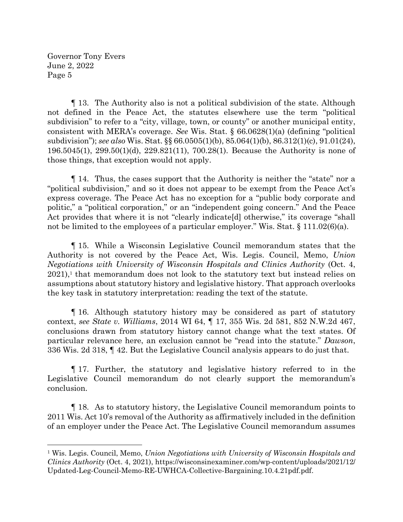¶ 13. The Authority also is not a political subdivision of the state. Although not defined in the Peace Act, the statutes elsewhere use the term "political subdivision" to refer to a "city, village, town, or county" or another municipal entity, consistent with MERA's coverage. *See* Wis. Stat. § 66.0628(1)(a) (defining "political subdivision"); *see also* Wis. Stat. §§ 66.0505(1)(b), 85.064(1)(b), 86.312(1)(c), 91.01(24), 196.5045(1), 299.50(1)(d), 229.821(11), 700.28(1). Because the Authority is none of those things, that exception would not apply.

¶ 14. Thus, the cases support that the Authority is neither the "state" nor a "political subdivision," and so it does not appear to be exempt from the Peace Act's express coverage. The Peace Act has no exception for a "public body corporate and politic," a "political corporation," or an "independent going concern." And the Peace Act provides that where it is not "clearly indicate[d] otherwise," its coverage "shall not be limited to the employees of a particular employer." Wis. Stat. § 111.02(6)(a).

¶ 15. While a Wisconsin Legislative Council memorandum states that the Authority is not covered by the Peace Act, Wis. Legis. Council, Memo, *Union Negotiations with University of Wisconsin Hospitals and Clinics Authority* (Oct. 4, 2021), <sup>1</sup> that memorandum does not look to the statutory text but instead relies on assumptions about statutory history and legislative history. That approach overlooks the key task in statutory interpretation: reading the text of the statute.

¶ 16. Although statutory history may be considered as part of statutory context, *see State v. Williams*, 2014 WI 64, ¶ 17, 355 Wis. 2d 581, 852 N.W.2d 467, conclusions drawn from statutory history cannot change what the text states. Of particular relevance here, an exclusion cannot be "read into the statute." *Dawson*, 336 Wis. 2d 318, ¶ 42. But the Legislative Council analysis appears to do just that.

¶ 17. Further, the statutory and legislative history referred to in the Legislative Council memorandum do not clearly support the memorandum's conclusion.

¶ 18. As to statutory history, the Legislative Council memorandum points to 2011 Wis. Act 10's removal of the Authority as affirmatively included in the definition of an employer under the Peace Act. The Legislative Council memorandum assumes

<sup>1</sup> Wis. Legis. Council, Memo, *Union Negotiations with University of Wisconsin Hospitals and Clinics Authority* (Oct. 4, 2021), https://wisconsinexaminer.com/wp-content/uploads/2021/12/ Updated-Leg-Council-Memo-RE-UWHCA-Collective-Bargaining.10.4.21pdf.pdf.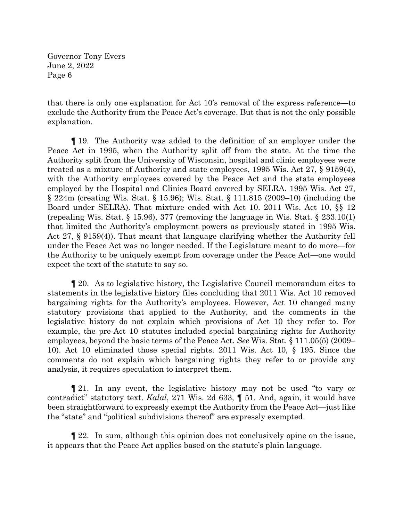that there is only one explanation for Act 10's removal of the express reference—to exclude the Authority from the Peace Act's coverage. But that is not the only possible explanation.

¶ 19. The Authority was added to the definition of an employer under the Peace Act in 1995, when the Authority split off from the state. At the time the Authority split from the University of Wisconsin, hospital and clinic employees were treated as a mixture of Authority and state employees, 1995 Wis. Act 27, § 9159(4), with the Authority employees covered by the Peace Act and the state employees employed by the Hospital and Clinics Board covered by SELRA. 1995 Wis. Act 27, § 224m (creating Wis. Stat. § 15.96); Wis. Stat. § 111.815 (2009–10) (including the Board under SELRA). That mixture ended with Act 10. 2011 Wis. Act 10, §§ 12 (repealing Wis. Stat. § 15.96), 377 (removing the language in Wis. Stat. § 233.10(1) that limited the Authority's employment powers as previously stated in 1995 Wis. Act 27, § 9159(4)). That meant that language clarifying whether the Authority fell under the Peace Act was no longer needed. If the Legislature meant to do more—for the Authority to be uniquely exempt from coverage under the Peace Act—one would expect the text of the statute to say so.

¶ 20. As to legislative history, the Legislative Council memorandum cites to statements in the legislative history files concluding that 2011 Wis. Act 10 removed bargaining rights for the Authority's employees. However, Act 10 changed many statutory provisions that applied to the Authority, and the comments in the legislative history do not explain which provisions of Act 10 they refer to. For example, the pre-Act 10 statutes included special bargaining rights for Authority employees, beyond the basic terms of the Peace Act. *See* Wis. Stat. § 111.05(5) (2009– 10). Act 10 eliminated those special rights. 2011 Wis. Act 10, § 195. Since the comments do not explain which bargaining rights they refer to or provide any analysis, it requires speculation to interpret them.

¶ 21. In any event, the legislative history may not be used "to vary or contradict" statutory text. *Kalal*, 271 Wis. 2d 633, ¶ 51. And, again, it would have been straightforward to expressly exempt the Authority from the Peace Act—just like the "state" and "political subdivisions thereof" are expressly exempted.

¶ 22. In sum, although this opinion does not conclusively opine on the issue, it appears that the Peace Act applies based on the statute's plain language.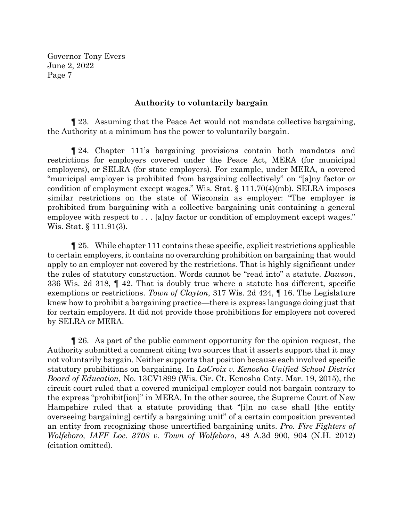## **Authority to voluntarily bargain**

¶ 23. Assuming that the Peace Act would not mandate collective bargaining, the Authority at a minimum has the power to voluntarily bargain.

¶ 24. Chapter 111's bargaining provisions contain both mandates and restrictions for employers covered under the Peace Act, MERA (for municipal employers), or SELRA (for state employers). For example, under MERA, a covered "municipal employer is prohibited from bargaining collectively" on "[a]ny factor or condition of employment except wages." Wis. Stat. § 111.70(4)(mb). SELRA imposes similar restrictions on the state of Wisconsin as employer: "The employer is prohibited from bargaining with a collective bargaining unit containing a general employee with respect to . . . [a]ny factor or condition of employment except wages." Wis. Stat. § 111.91(3).

¶ 25. While chapter 111 contains these specific, explicit restrictions applicable to certain employers, it contains no overarching prohibition on bargaining that would apply to an employer not covered by the restrictions. That is highly significant under the rules of statutory construction. Words cannot be "read into" a statute. *Dawson*, 336 Wis. 2d 318, ¶ 42. That is doubly true where a statute has different, specific exemptions or restrictions. *Town of Clayton*, 317 Wis. 2d 424, ¶ 16. The Legislature knew how to prohibit a bargaining practice—there is express language doing just that for certain employers. It did not provide those prohibitions for employers not covered by SELRA or MERA.

¶ 26. As part of the public comment opportunity for the opinion request, the Authority submitted a comment citing two sources that it asserts support that it may not voluntarily bargain. Neither supports that position because each involved specific statutory prohibitions on bargaining. In *LaCroix v. Kenosha Unified School District Board of Education*, No. 13CV1899 (Wis. Cir. Ct. Kenosha Cnty. Mar. 19, 2015), the circuit court ruled that a covered municipal employer could not bargain contrary to the express "prohibit[ion]" in MERA. In the other source, the Supreme Court of New Hampshire ruled that a statute providing that "[i]n no case shall [the entity overseeing bargaining] certify a bargaining unit" of a certain composition prevented an entity from recognizing those uncertified bargaining units. *Pro. Fire Fighters of Wolfeboro, IAFF Loc. 3708 v. Town of Wolfeboro*, 48 A.3d 900, 904 (N.H. 2012) (citation omitted).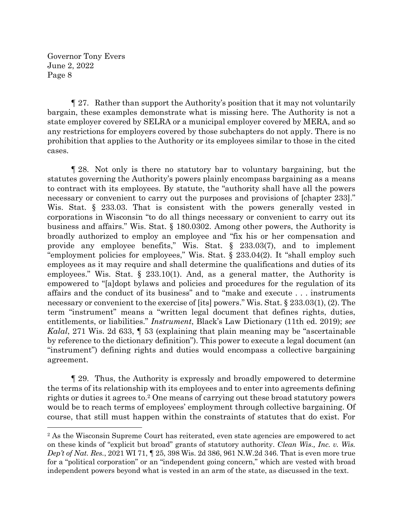¶ 27. Rather than support the Authority's position that it may not voluntarily bargain, these examples demonstrate what is missing here. The Authority is not a state employer covered by SELRA or a municipal employer covered by MERA, and so any restrictions for employers covered by those subchapters do not apply. There is no prohibition that applies to the Authority or its employees similar to those in the cited cases.

¶ 28. Not only is there no statutory bar to voluntary bargaining, but the statutes governing the Authority's powers plainly encompass bargaining as a means to contract with its employees. By statute, the "authority shall have all the powers necessary or convenient to carry out the purposes and provisions of [chapter 233]." Wis. Stat. § 233.03. That is consistent with the powers generally vested in corporations in Wisconsin "to do all things necessary or convenient to carry out its business and affairs." Wis. Stat. § 180.0302. Among other powers, the Authority is broadly authorized to employ an employee and "fix his or her compensation and provide any employee benefits," Wis. Stat. § 233.03(7), and to implement "employment policies for employees," Wis. Stat. § 233.04(2). It "shall employ such employees as it may require and shall determine the qualifications and duties of its employees." Wis. Stat.  $\S$  233.10(1). And, as a general matter, the Authority is empowered to "[a]dopt bylaws and policies and procedures for the regulation of its affairs and the conduct of its business" and to "make and execute . . . instruments necessary or convenient to the exercise of [its] powers." Wis. Stat. § 233.03(1), (2). The term "instrument" means a "written legal document that defines rights, duties, entitlements, or liabilities." *Instrument*, Black's Law Dictionary (11th ed. 2019); *see Kalal*, 271 Wis. 2d 633, ¶ 53 (explaining that plain meaning may be "ascertainable by reference to the dictionary definition"). This power to execute a legal document (an "instrument") defining rights and duties would encompass a collective bargaining agreement.

¶ 29. Thus, the Authority is expressly and broadly empowered to determine the terms of its relationship with its employees and to enter into agreements defining rights or duties it agrees to.<sup>2</sup> One means of carrying out these broad statutory powers would be to reach terms of employees' employment through collective bargaining. Of course, that still must happen within the constraints of statutes that do exist. For

<sup>&</sup>lt;sup>2</sup> As the Wisconsin Supreme Court has reiterated, even state agencies are empowered to act on these kinds of "explicit but broad" grants of statutory authority. *Clean Wis., Inc. v. Wis. Dep't of Nat. Res.*, 2021 WI 71, ¶ 25, 398 Wis. 2d 386, 961 N.W.2d 346. That is even more true for a "political corporation" or an "independent going concern," which are vested with broad independent powers beyond what is vested in an arm of the state, as discussed in the text.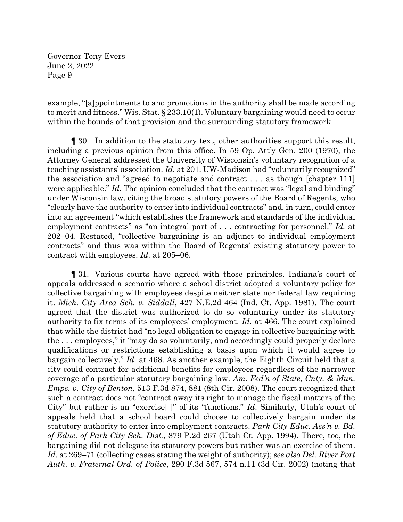example, "[a]ppointments to and promotions in the authority shall be made according to merit and fitness." Wis. Stat. § 233.10(1). Voluntary bargaining would need to occur within the bounds of that provision and the surrounding statutory framework.

¶ 30. In addition to the statutory text, other authorities support this result, including a previous opinion from this office. In 59 Op. Att'y Gen. 200 (1970), the Attorney General addressed the University of Wisconsin's voluntary recognition of a teaching assistants' association. *Id.* at 201. UW-Madison had "voluntarily recognized" the association and "agreed to negotiate and contract . . . as though [chapter 111] were applicable." *Id.* The opinion concluded that the contract was "legal and binding" under Wisconsin law, citing the broad statutory powers of the Board of Regents, who "clearly have the authority to enter into individual contracts" and, in turn, could enter into an agreement "which establishes the framework and standards of the individual employment contracts" as "an integral part of . . . contracting for personnel." *Id.* at 202–04. Restated, "collective bargaining is an adjunct to individual employment contracts" and thus was within the Board of Regents' existing statutory power to contract with employees. *Id.* at 205–06.

¶ 31. Various courts have agreed with those principles. Indiana's court of appeals addressed a scenario where a school district adopted a voluntary policy for collective bargaining with employees despite neither state nor federal law requiring it. *Mich. City Area Sch. v. Siddall*, 427 N.E.2d 464 (Ind. Ct. App. 1981). The court agreed that the district was authorized to do so voluntarily under its statutory authority to fix terms of its employees' employment. *Id.* at 466. The court explained that while the district had "no legal obligation to engage in collective bargaining with the . . . employees," it "may do so voluntarily, and accordingly could properly declare qualifications or restrictions establishing a basis upon which it would agree to bargain collectively." *Id.* at 468. As another example, the Eighth Circuit held that a city could contract for additional benefits for employees regardless of the narrower coverage of a particular statutory bargaining law. *Am. Fed'n of State, Cnty. & Mun. Emps. v. City of Benton*, 513 F.3d 874, 881 (8th Cir. 2008). The court recognized that such a contract does not "contract away its right to manage the fiscal matters of the City" but rather is an "exercise[ ]" of its "functions." *Id*. Similarly, Utah's court of appeals held that a school board could choose to collectively bargain under its statutory authority to enter into employment contracts. *Park City Educ. Ass'n v. Bd. of Educ. of Park City Sch. Dist.*, 879 P.2d 267 (Utah Ct. App. 1994). There, too, the bargaining did not delegate its statutory powers but rather was an exercise of them. *Id.* at 269–71 (collecting cases stating the weight of authority); *see also Del. River Port Auth. v. Fraternal Ord. of Police*, 290 F.3d 567, 574 n.11 (3d Cir. 2002) (noting that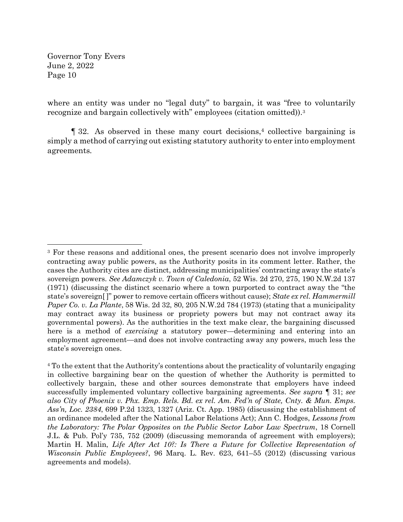where an entity was under no "legal duty" to bargain, it was "free to voluntarily recognize and bargain collectively with" employees (citation omitted)).<sup>3</sup>

¶ 32. As observed in these many court decisions, <sup>4</sup> collective bargaining is simply a method of carrying out existing statutory authority to enter into employment agreements*.*

<sup>&</sup>lt;sup>3</sup> For these reasons and additional ones, the present scenario does not involve improperly contracting away public powers, as the Authority posits in its comment letter. Rather, the cases the Authority cites are distinct, addressing municipalities' contracting away the state's sovereign powers. *See Adamczyk v. Town of Caledonia*, 52 Wis. 2d 270, 275, 190 N.W.2d 137 (1971) (discussing the distinct scenario where a town purported to contract away the "the state's sovereign[ ]" power to remove certain officers without cause); *State ex rel. Hammermill Paper Co. v. La Plante*, 58 Wis. 2d 32, 80, 205 N.W.2d 784 (1973) (stating that a municipality may contract away its business or propriety powers but may not contract away its governmental powers). As the authorities in the text make clear, the bargaining discussed here is a method of *exercising* a statutory power—determining and entering into an employment agreement—and does not involve contracting away any powers, much less the state's sovereign ones.

<sup>4</sup> To the extent that the Authority's contentions about the practicality of voluntarily engaging in collective bargaining bear on the question of whether the Authority is permitted to collectively bargain, these and other sources demonstrate that employers have indeed successfully implemented voluntary collective bargaining agreements. *See supra* ¶ 31; *see also City of Phoenix v. Phx. Emp. Rels. Bd. ex rel. Am. Fed'n of State, Cnty. & Mun. Emps. Ass'n, Loc. 2384*, 699 P.2d 1323, 1327 (Ariz. Ct. App. 1985) (discussing the establishment of an ordinance modeled after the National Labor Relations Act); Ann C. Hodges, *Lessons from the Laboratory: The Polar Opposites on the Public Sector Labor Law Spectrum*, 18 Cornell J.L. & Pub. Pol'y 735, 752 (2009) (discussing memoranda of agreement with employers); Martin H. Malin, *Life After Act 10?: Is There a Future for Collective Representation of Wisconsin Public Employees?*, 96 Marq. L. Rev. 623, 641–55 (2012) (discussing various agreements and models).